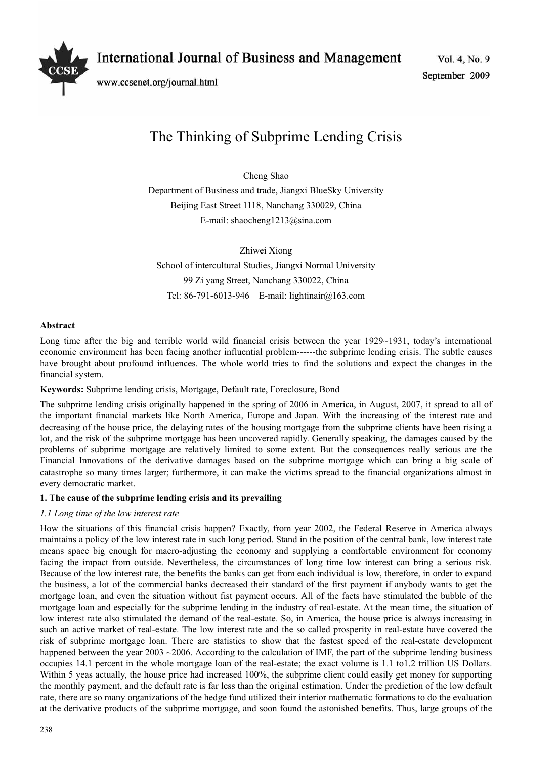**International Journal of Business and Management** 



www.ccsenet.org/journal.html

Vol. 4, No. 9 September 2009

# The Thinking of Subprime Lending Crisis

Cheng Shao

Department of Business and trade, Jiangxi BlueSky University Beijing East Street 1118, Nanchang 330029, China E-mail: shaocheng1213@sina.com

Zhiwei Xiong School of intercultural Studies, Jiangxi Normal University 99 Zi yang Street, Nanchang 330022, China Tel: 86-791-6013-946 E-mail: lightinair@163.com

# **Abstract**

Long time after the big and terrible world wild financial crisis between the year 1929~1931, today's international economic environment has been facing another influential problem------the subprime lending crisis. The subtle causes have brought about profound influences. The whole world tries to find the solutions and expect the changes in the financial system.

# **Keywords:** Subprime lending crisis, Mortgage, Default rate, Foreclosure, Bond

The subprime lending crisis originally happened in the spring of 2006 in America, in August, 2007, it spread to all of the important financial markets like North America, Europe and Japan. With the increasing of the interest rate and decreasing of the house price, the delaying rates of the housing mortgage from the subprime clients have been rising a lot, and the risk of the subprime mortgage has been uncovered rapidly. Generally speaking, the damages caused by the problems of subprime mortgage are relatively limited to some extent. But the consequences really serious are the Financial Innovations of the derivative damages based on the subprime mortgage which can bring a big scale of catastrophe so many times larger; furthermore, it can make the victims spread to the financial organizations almost in every democratic market.

# **1. The cause of the subprime lending crisis and its prevailing**

# *1.1 Long time of the low interest rate*

How the situations of this financial crisis happen? Exactly, from year 2002, the Federal Reserve in America always maintains a policy of the low interest rate in such long period. Stand in the position of the central bank, low interest rate means space big enough for macro-adjusting the economy and supplying a comfortable environment for economy facing the impact from outside. Nevertheless, the circumstances of long time low interest can bring a serious risk. Because of the low interest rate, the benefits the banks can get from each individual is low, therefore, in order to expand the business, a lot of the commercial banks decreased their standard of the first payment if anybody wants to get the mortgage loan, and even the situation without fist payment occurs. All of the facts have stimulated the bubble of the mortgage loan and especially for the subprime lending in the industry of real-estate. At the mean time, the situation of low interest rate also stimulated the demand of the real-estate. So, in America, the house price is always increasing in such an active market of real-estate. The low interest rate and the so called prosperity in real-estate have covered the risk of subprime mortgage loan. There are statistics to show that the fastest speed of the real-estate development happened between the year 2003 ~2006. According to the calculation of IMF, the part of the subprime lending business occupies 14.1 percent in the whole mortgage loan of the real-estate; the exact volume is 1.1 to1.2 trillion US Dollars. Within 5 yeas actually, the house price had increased 100%, the subprime client could easily get money for supporting the monthly payment, and the default rate is far less than the original estimation. Under the prediction of the low default rate, there are so many organizations of the hedge fund utilized their interior mathematic formations to do the evaluation at the derivative products of the subprime mortgage, and soon found the astonished benefits. Thus, large groups of the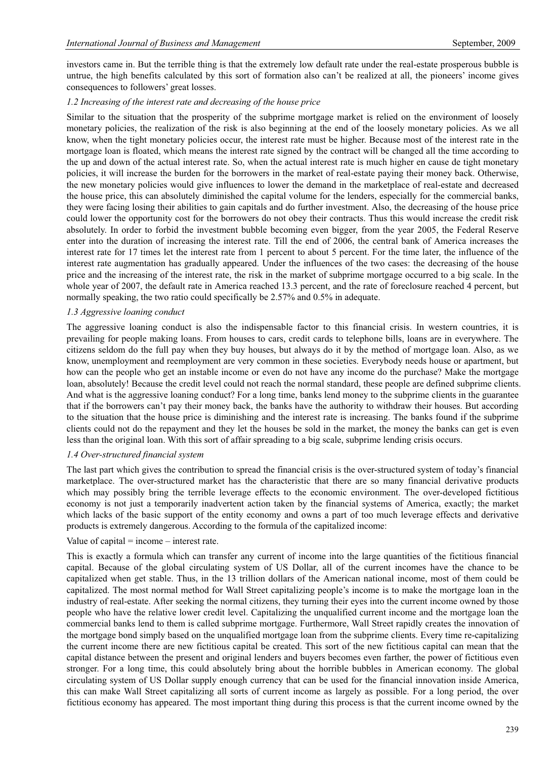investors came in. But the terrible thing is that the extremely low default rate under the real-estate prosperous bubble is untrue, the high benefits calculated by this sort of formation also can't be realized at all, the pioneers' income gives consequences to followers' great losses.

#### *1.2 Increasing of the interest rate and decreasing of the house price*

Similar to the situation that the prosperity of the subprime mortgage market is relied on the environment of loosely monetary policies, the realization of the risk is also beginning at the end of the loosely monetary policies. As we all know, when the tight monetary policies occur, the interest rate must be higher. Because most of the interest rate in the mortgage loan is floated, which means the interest rate signed by the contract will be changed all the time according to the up and down of the actual interest rate. So, when the actual interest rate is much higher en cause de tight monetary policies, it will increase the burden for the borrowers in the market of real-estate paying their money back. Otherwise, the new monetary policies would give influences to lower the demand in the marketplace of real-estate and decreased the house price, this can absolutely diminished the capital volume for the lenders, especially for the commercial banks, they were facing losing their abilities to gain capitals and do further investment. Also, the decreasing of the house price could lower the opportunity cost for the borrowers do not obey their contracts. Thus this would increase the credit risk absolutely. In order to forbid the investment bubble becoming even bigger, from the year 2005, the Federal Reserve enter into the duration of increasing the interest rate. Till the end of 2006, the central bank of America increases the interest rate for 17 times let the interest rate from 1 percent to about 5 percent. For the time later, the influence of the interest rate augmentation has gradually appeared. Under the influences of the two cases: the decreasing of the house price and the increasing of the interest rate, the risk in the market of subprime mortgage occurred to a big scale. In the whole year of 2007, the default rate in America reached 13.3 percent, and the rate of foreclosure reached 4 percent, but normally speaking, the two ratio could specifically be 2.57% and 0.5% in adequate.

#### *1.3 Aggressive loaning conduct*

The aggressive loaning conduct is also the indispensable factor to this financial crisis. In western countries, it is prevailing for people making loans. From houses to cars, credit cards to telephone bills, loans are in everywhere. The citizens seldom do the full pay when they buy houses, but always do it by the method of mortgage loan. Also, as we know, unemployment and reemployment are very common in these societies. Everybody needs house or apartment, but how can the people who get an instable income or even do not have any income do the purchase? Make the mortgage loan, absolutely! Because the credit level could not reach the normal standard, these people are defined subprime clients. And what is the aggressive loaning conduct? For a long time, banks lend money to the subprime clients in the guarantee that if the borrowers can't pay their money back, the banks have the authority to withdraw their houses. But according to the situation that the house price is diminishing and the interest rate is increasing. The banks found if the subprime clients could not do the repayment and they let the houses be sold in the market, the money the banks can get is even less than the original loan. With this sort of affair spreading to a big scale, subprime lending crisis occurs.

#### *1.4 Over-structured financial system*

The last part which gives the contribution to spread the financial crisis is the over-structured system of today's financial marketplace. The over-structured market has the characteristic that there are so many financial derivative products which may possibly bring the terrible leverage effects to the economic environment. The over-developed fictitious economy is not just a temporarily inadvertent action taken by the financial systems of America, exactly; the market which lacks of the basic support of the entity economy and owns a part of too much leverage effects and derivative products is extremely dangerous. According to the formula of the capitalized income:

#### Value of capital  $=$  income  $-$  interest rate.

This is exactly a formula which can transfer any current of income into the large quantities of the fictitious financial capital. Because of the global circulating system of US Dollar, all of the current incomes have the chance to be capitalized when get stable. Thus, in the 13 trillion dollars of the American national income, most of them could be capitalized. The most normal method for Wall Street capitalizing people's income is to make the mortgage loan in the industry of real-estate. After seeking the normal citizens, they turning their eyes into the current income owned by those people who have the relative lower credit level. Capitalizing the unqualified current income and the mortgage loan the commercial banks lend to them is called subprime mortgage. Furthermore, Wall Street rapidly creates the innovation of the mortgage bond simply based on the unqualified mortgage loan from the subprime clients. Every time re-capitalizing the current income there are new fictitious capital be created. This sort of the new fictitious capital can mean that the capital distance between the present and original lenders and buyers becomes even farther, the power of fictitious even stronger. For a long time, this could absolutely bring about the horrible bubbles in American economy. The global circulating system of US Dollar supply enough currency that can be used for the financial innovation inside America, this can make Wall Street capitalizing all sorts of current income as largely as possible. For a long period, the over fictitious economy has appeared. The most important thing during this process is that the current income owned by the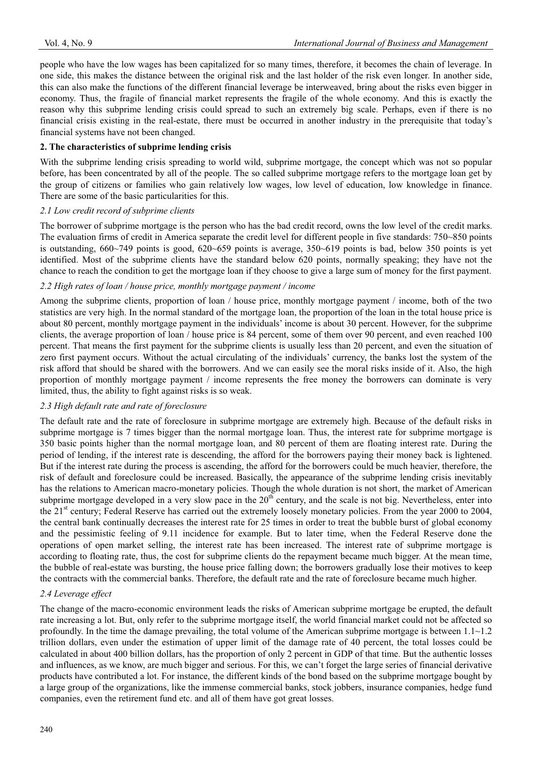people who have the low wages has been capitalized for so many times, therefore, it becomes the chain of leverage. In one side, this makes the distance between the original risk and the last holder of the risk even longer. In another side, this can also make the functions of the different financial leverage be interweaved, bring about the risks even bigger in economy. Thus, the fragile of financial market represents the fragile of the whole economy. And this is exactly the reason why this subprime lending crisis could spread to such an extremely big scale. Perhaps, even if there is no financial crisis existing in the real-estate, there must be occurred in another industry in the prerequisite that today's financial systems have not been changed.

## **2. The characteristics of subprime lending crisis**

With the subprime lending crisis spreading to world wild, subprime mortgage, the concept which was not so popular before, has been concentrated by all of the people. The so called subprime mortgage refers to the mortgage loan get by the group of citizens or families who gain relatively low wages, low level of education, low knowledge in finance. There are some of the basic particularities for this.

#### *2.1 Low credit record of subprime clients*

The borrower of subprime mortgage is the person who has the bad credit record, owns the low level of the credit marks. The evaluation firms of credit in America separate the credit level for different people in five standards: 750~850 points is outstanding, 660~749 points is good, 620~659 points is average, 350~619 points is bad, below 350 points is yet identified. Most of the subprime clients have the standard below 620 points, normally speaking; they have not the chance to reach the condition to get the mortgage loan if they choose to give a large sum of money for the first payment.

## *2.2 High rates of loan / house price, monthly mortgage payment / income*

Among the subprime clients, proportion of loan / house price, monthly mortgage payment / income, both of the two statistics are very high. In the normal standard of the mortgage loan, the proportion of the loan in the total house price is about 80 percent, monthly mortgage payment in the individuals' income is about 30 percent. However, for the subprime clients, the average proportion of loan / house price is 84 percent, some of them over 90 percent, and even reached 100 percent. That means the first payment for the subprime clients is usually less than 20 percent, and even the situation of zero first payment occurs. Without the actual circulating of the individuals' currency, the banks lost the system of the risk afford that should be shared with the borrowers. And we can easily see the moral risks inside of it. Also, the high proportion of monthly mortgage payment / income represents the free money the borrowers can dominate is very limited, thus, the ability to fight against risks is so weak.

#### *2.3 High default rate and rate of foreclosure*

The default rate and the rate of foreclosure in subprime mortgage are extremely high. Because of the default risks in subprime mortgage is 7 times bigger than the normal mortgage loan. Thus, the interest rate for subprime mortgage is 350 basic points higher than the normal mortgage loan, and 80 percent of them are floating interest rate. During the period of lending, if the interest rate is descending, the afford for the borrowers paying their money back is lightened. But if the interest rate during the process is ascending, the afford for the borrowers could be much heavier, therefore, the risk of default and foreclosure could be increased. Basically, the appearance of the subprime lending crisis inevitably has the relations to American macro-monetary policies. Though the whole duration is not short, the market of American subprime mortgage developed in a very slow pace in the  $20<sup>th</sup>$  century, and the scale is not big. Nevertheless, enter into the 21<sup>st</sup> century; Federal Reserve has carried out the extremely loosely monetary policies. From the year 2000 to 2004, the central bank continually decreases the interest rate for 25 times in order to treat the bubble burst of global economy and the pessimistic feeling of 9.11 incidence for example. But to later time, when the Federal Reserve done the operations of open market selling, the interest rate has been increased. The interest rate of subprime mortgage is according to floating rate, thus, the cost for subprime clients do the repayment became much bigger. At the mean time, the bubble of real-estate was bursting, the house price falling down; the borrowers gradually lose their motives to keep the contracts with the commercial banks. Therefore, the default rate and the rate of foreclosure became much higher.

#### *2.4 Leverage effect*

The change of the macro-economic environment leads the risks of American subprime mortgage be erupted, the default rate increasing a lot. But, only refer to the subprime mortgage itself, the world financial market could not be affected so profoundly. In the time the damage prevailing, the total volume of the American subprime mortgage is between  $1.1 \sim 1.2$ trillion dollars, even under the estimation of upper limit of the damage rate of 40 percent, the total losses could be calculated in about 400 billion dollars, has the proportion of only 2 percent in GDP of that time. But the authentic losses and influences, as we know, are much bigger and serious. For this, we can't forget the large series of financial derivative products have contributed a lot. For instance, the different kinds of the bond based on the subprime mortgage bought by a large group of the organizations, like the immense commercial banks, stock jobbers, insurance companies, hedge fund companies, even the retirement fund etc. and all of them have got great losses.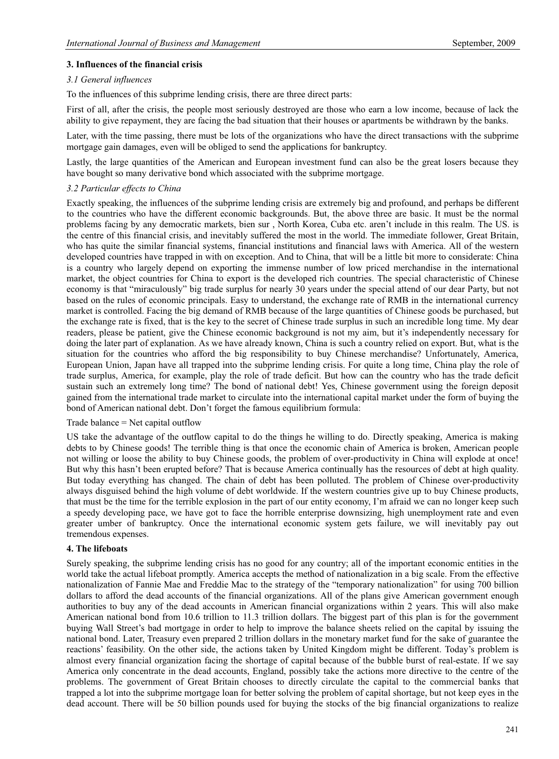#### **3. Influences of the financial crisis**

#### *3.1 General influences*

To the influences of this subprime lending crisis, there are three direct parts:

First of all, after the crisis, the people most seriously destroyed are those who earn a low income, because of lack the ability to give repayment, they are facing the bad situation that their houses or apartments be withdrawn by the banks.

Later, with the time passing, there must be lots of the organizations who have the direct transactions with the subprime mortgage gain damages, even will be obliged to send the applications for bankruptcy.

Lastly, the large quantities of the American and European investment fund can also be the great losers because they have bought so many derivative bond which associated with the subprime mortgage.

#### *3.2 Particular effects to China*

Exactly speaking, the influences of the subprime lending crisis are extremely big and profound, and perhaps be different to the countries who have the different economic backgrounds. But, the above three are basic. It must be the normal problems facing by any democratic markets, bien sur , North Korea, Cuba etc. aren't include in this realm. The US. is the centre of this financial crisis, and inevitably suffered the most in the world. The immediate follower, Great Britain, who has quite the similar financial systems, financial institutions and financial laws with America. All of the western developed countries have trapped in with on exception. And to China, that will be a little bit more to considerate: China is a country who largely depend on exporting the immense number of low priced merchandise in the international market, the object countries for China to export is the developed rich countries. The special characteristic of Chinese economy is that "miraculously" big trade surplus for nearly 30 years under the special attend of our dear Party, but not based on the rules of economic principals. Easy to understand, the exchange rate of RMB in the international currency market is controlled. Facing the big demand of RMB because of the large quantities of Chinese goods be purchased, but the exchange rate is fixed, that is the key to the secret of Chinese trade surplus in such an incredible long time. My dear readers, please be patient, give the Chinese economic background is not my aim, but it's independently necessary for doing the later part of explanation. As we have already known, China is such a country relied on export. But, what is the situation for the countries who afford the big responsibility to buy Chinese merchandise? Unfortunately, America, European Union, Japan have all trapped into the subprime lending crisis. For quite a long time, China play the role of trade surplus, America, for example, play the role of trade deficit. But how can the country who has the trade deficit sustain such an extremely long time? The bond of national debt! Yes, Chinese government using the foreign deposit gained from the international trade market to circulate into the international capital market under the form of buying the bond of American national debt. Don't forget the famous equilibrium formula:

#### Trade balance = Net capital outflow

US take the advantage of the outflow capital to do the things he willing to do. Directly speaking, America is making debts to by Chinese goods! The terrible thing is that once the economic chain of America is broken, American people not willing or loose the ability to buy Chinese goods, the problem of over-productivity in China will explode at once! But why this hasn't been erupted before? That is because America continually has the resources of debt at high quality. But today everything has changed. The chain of debt has been polluted. The problem of Chinese over-productivity always disguised behind the high volume of debt worldwide. If the western countries give up to buy Chinese products, that must be the time for the terrible explosion in the part of our entity economy, I'm afraid we can no longer keep such a speedy developing pace, we have got to face the horrible enterprise downsizing, high unemployment rate and even greater umber of bankruptcy. Once the international economic system gets failure, we will inevitably pay out tremendous expenses.

#### **4. The lifeboats**

Surely speaking, the subprime lending crisis has no good for any country; all of the important economic entities in the world take the actual lifeboat promptly. America accepts the method of nationalization in a big scale. From the effective nationalization of Fannie Mae and Freddie Mac to the strategy of the "temporary nationalization" for using 700 billion dollars to afford the dead accounts of the financial organizations. All of the plans give American government enough authorities to buy any of the dead accounts in American financial organizations within 2 years. This will also make American national bond from 10.6 trillion to 11.3 trillion dollars. The biggest part of this plan is for the government buying Wall Street's bad mortgage in order to help to improve the balance sheets relied on the capital by issuing the national bond. Later, Treasury even prepared 2 trillion dollars in the monetary market fund for the sake of guarantee the reactions' feasibility. On the other side, the actions taken by United Kingdom might be different. Today's problem is almost every financial organization facing the shortage of capital because of the bubble burst of real-estate. If we say America only concentrate in the dead accounts, England, possibly take the actions more directive to the centre of the problems. The government of Great Britain chooses to directly circulate the capital to the commercial banks that trapped a lot into the subprime mortgage loan for better solving the problem of capital shortage, but not keep eyes in the dead account. There will be 50 billion pounds used for buying the stocks of the big financial organizations to realize